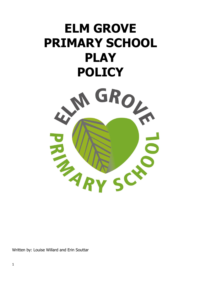# **ELM GROVE PRIMARY SCHOOL PLAY**



Written by: Louise Willard and Erin Souttar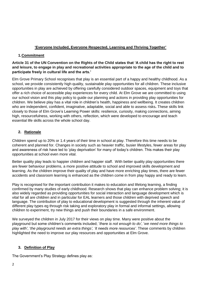# **'Everyone Included, Everyone Respected, Learning and Thriving Together'**

# **1.Commitment**

# **Article 31 of the UN Convention on the Rights of the Child states that 'A child has the right to rest and leisure, to engage in play and recreational activities appropriate to the age of the child and to participate freely in cultural life and the arts.'**

Elm Grove Primary School recognises that play is an essential part of a happy and healthy childhood. As a school, we provide consistently high quality, sustainable play opportunities for all children. These inclusive opportunities in play are achieved by offering carefully considered outdoor spaces, equipment and toys that offer a rich choice of accessible play experiences for every child. At Elm Grove we are committed to using our school vision and this play policy to guide our planning and actions in providing play opportunities for children. We believe play has a vital role in children's health, happiness and wellbeing. It creates children who are independent, confident, imaginative, adaptable, social and able to assess risks**.** These skills link closely to those of Elm Grove's Learning Power skills: resilience, curiosity, making connections, aiming high, resourcefulness, working with others, reflection, which were developed to encourage and teach essential life skills across the whole school day.

# **2. Rationale**

Children spend up to 20% or 1.4 years of their time in school at play. Therefore this time needs to be coherent and planned for. Changes in society such as heavier traffic, busier lifestyles, fewer areas for play and awareness of risk have led to 'play deprivation' for many of today's children. This makes their play opportunities at school even more vital.

Better quality play leads to happier children and happier staff. With better quality play opportunities there are fewer behaviour problems, a more positive attitude to school and improved skills development and learning. As the children improve their quality of play and have more enriching play times, there are fewer accidents and classroom learning is enhanced as the children come in from play happy and ready to learn.

Play is recognised for the important contribution it makes to education and lifelong learning, a finding confirmed by many studies of early childhood. Research shows that play can enhance problem solving; it is also widely regarded as providing opportunities for social interaction and language development which is vital for all are children and in particular for EAL learners and those children with deprived speech and language. The contribution of play to educational development is suggested through the inherent value of different play types eg through risk taking and exploratory play in formal and informal settings, allowing children to experiment, try new things and push their boundaries in a safe environment.

We surveyed the children in July 2017 for their views on play time. Many were positive about the playground but some children's comments included; '*there is not enough to do'*, '*we need more things to play with'*, '*the playground needs an extra things', 'it needs more resources'*. These comments by children highlighted the need to improve our play resources and opportunities at Elm Grove.

# **3. Definition of Play**

The Government's Play Strategy defines play as: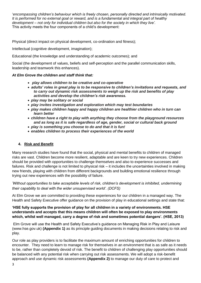'*encompassing children's behaviour which is freely chosen, personally directed and intrinsically motivated. It is performed for no external goal or reward, and is a fundamental and integral part of healthy development – not only for individual children but also for the society in which they live'.* This activity meets the four components of a child's development:

Physical (direct impact on physical development, co-ordination and fitness);

Intellectual (cognitive development, imagination);

Educational (the knowledge and understanding of academic outcomes); and

Social (the development of values, beliefs and self-perception and the parallel communication skills, leadership and teamwork this enhances).

## *At Elm Grove the children and staff think that:*

- *play allows children to be creative and co-operative*
- *adults' roles in great play is to be responsive to children's invitations and requests, and to carry out dynamic risk assessments to weigh up the risk and benefits of play activities and develop the children's risk awareness.*
- *play may be solitary or social*
- *play invites investigation and exploration which may test boundaries*
- *play makes children happy and happy children are healthier children who in turn can learn better*
- *children have a right to play with anything they choose from the playground resources and as long as it is safe regardless of age, gender, social or cultural back ground*
- *play is something you choose to do and that it is fun!*
- *enables children to process their experiences of the world*

# **4. Risk and Benefit**

Many research studies have found that the social, physical and mental benefits to children of managed risks are vast. Children become more resilient, adaptable and are keen to try new experiences. Children should be provided with opportunities to challenge themselves and also to experience successes and failures. Risk and challenge is not limited to physical risk – it includes the uncertainties involved in making new friends, playing with children from different backgrounds and building emotional resilience through trying out new experiences with the possibility of failure.

*'Without opportunities to take acceptable levels of risk, children's development is inhibited, undermining their capability to deal with the wider unsupervised world'. (DCFS)*

At Elm Grove we are committed to providing these experiences for our children in a managed way. The Health and Safety Executive offer guidance on the provision of play in educational settings and state that:

**'HSE fully supports the provision of play for all children in a variety of environments. HSE understands and accepts that this means children will often be exposed to play environments which, whilst well managed, carry a degree of risk and sometimes potential dangers'. (HSE, 2013)**

Elm Grove will use the Health and Safety Executive's guidance on Managing Risk in Play and Leisure (www.hse.gov.uk) **(Appendix 1)** as its principle guiding documents in making decisions relating to risk and play.

Our role as play providers is to facilitate the maximum amount of enriching opportunities for children to encounter. They need to learn to manage risk for themselves in an environment that is as safe as it needs to be, rather than completely devoid of risk. The benefit to children of challenging play opportunities should be balanced with any potential risk when carrying out risk assessments. We will adopt a risk-benefit approach and use dynamic risk assessments **(Appendix 2)** to manage our duty of care to protect and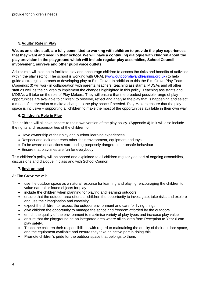# **5.Adults' Role in Play**

**We, as an entire staff, are fully committed to working with children to provide the play experiences that they want and need in their school. We will have a continuing dialogue with children about the play provision in the playground which will include regular play assemblies, School Council involvement, surveys and other pupil voice outlets.** 

Adult's role will also be to facilitate play and encourage children to assess the risks and benefits of activities within the play setting. The school is working with OPAL [\(www.outdoorplayandlearning.org.uk\)](http://www.outdoorplayandlearning.org.uk/) to help guide a strategic approach to developing play at Elm Grove. In addition to this the Elm Grove Play Team (Appendix 3) will work in collaboration with parents, teachers, teaching assistants, MDSAs and all other staff as well as the children to implement the changes highlighted in this policy. Teaching assistants and MDSAs will take on the role of Play Makers. They will ensure that the broadest possible range of play opportunities are available to children: to observe, reflect and analyse the play that is happening and select a mode of intervention or make a change to the play space if needed. Play Makers ensure that the play space is inclusive – supporting all children to make the most of the opportunities available in their own way.

# **6.Children's Role in Play**

The children will all have access to their own version of the play policy. (Appendix 4) In it will also include the rights and responsibilities of the children to

- Have ownership of their play and outdoor learning experiences
- Respect and look after each other their environment, equipment and toys.
- To be aware of sanctions surrounding purposely dangerous or unsafe behaviour
- Ensure that playtimes are fun for everybody

This children's policy will be shared and explained to all children regularly as part of ongoing assemblies, discussions and dialogue in class and with School Council.

# **7.Environment**

At Elm Grove we will:

- use the outdoor space as a natural resource for learning and playing, encouraging the children to value natural or found objects for play
- include the children when planning for playing and learning outdoors
- ensure that the outdoor area offers all children the opportunity to investigate, take risks and explore and use their imagination and creativity
- expect the children to respect the outdoor environment and care for living things
- give children the opportunity to manage the space and freedom afforded by the outdoors
- enrich the quality of the environment to maximise variety of play types and increase play value
- ensure that the playground be an integrated area where all children from Reception to Year 6 can play safely.
- Teach the children their responsibilities with regard to maintaining the quality of their outdoor space, and the equipment available and ensure they take an active part in doing this.
- Promote children's pride for the outdoor space that belongs to them.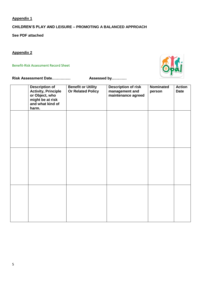**Appendix 1**

# **CHILDREN'S PLAY AND LEISURE – PROMOTING A BALANCED APPROACH**

**See PDF attached**

**Appendix 2**

Benefit-Risk Assessment Record Sheet



**Risk Assessment Date…………… Assessed by…………**

| <b>Description of</b><br><b>Activity, Principle</b><br>or Object, who<br>might be at risk<br>and what kind of<br>harm. | <b>Benefit or Utility</b><br><b>Or Related Policy</b> | <b>Description of risk</b><br>management and<br>maintenance agreed | Nominated<br>person | <b>Action</b><br><b>Date</b> |
|------------------------------------------------------------------------------------------------------------------------|-------------------------------------------------------|--------------------------------------------------------------------|---------------------|------------------------------|
|                                                                                                                        |                                                       |                                                                    |                     |                              |
|                                                                                                                        |                                                       |                                                                    |                     |                              |
|                                                                                                                        |                                                       |                                                                    |                     |                              |
|                                                                                                                        |                                                       |                                                                    |                     |                              |
|                                                                                                                        |                                                       |                                                                    |                     |                              |
|                                                                                                                        |                                                       |                                                                    |                     |                              |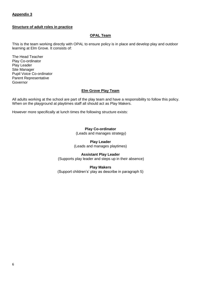# **Appendix 3**

#### **Structure of adult roles in practice**

## **OPAL Team**

This is the team working directly with OPAL to ensure policy is in place and develop play and outdoor learning at Elm Grove. It consists of:

The Head Teacher Play Co-ordinator Play Leader Site Manager Pupil Voice Co-ordinator Parent Representative Governor

#### **Elm Grove Play Team**

All adults working at the school are part of the play team and have a responsibility to follow this policy. When on the playground at playtimes staff all should act as Play Makers.

However more specifically at lunch times the following structure exists:

## **Play Co-ordinator**

(Leads and manages strategy)

#### **Play Leader**

(Leads and manages playtimes)

## **Assistant Play Leader**

(Supports play leader and steps up in their absence)

## **Play Makers**

(Support children's' play as describe in paragraph 5)